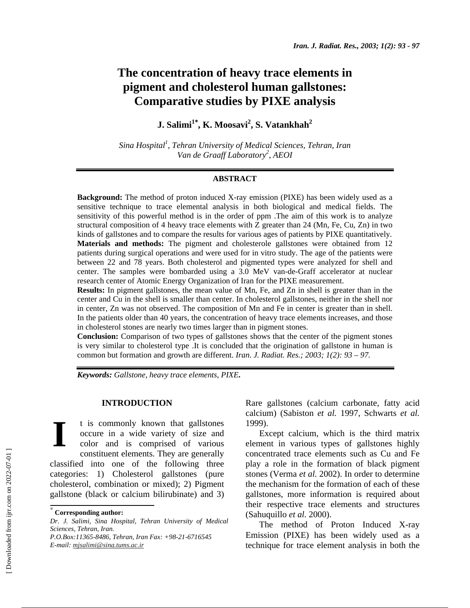# **The concentration of heavy trace elements in pigment and cholesterol human gallstones: Comparative studies by PIXE analysis**

**J. Salimi1**<sup>∗</sup> **, K. Moosavi<sup>2</sup> , S. Vatankhah2**

*Sina Hospital1 , Tehran University of Medical Sciences, Tehran, Iran*  Van de Graaff Laboratory<sup>2</sup>, AEOI

### **ABSTRACT**

**Background:** The method of proton induced X-ray emission (PIXE) has been widely used as a sensitive technique to trace elemental analysis in both biological and medical fields. The sensitivity of this powerful method is in the order of ppm .The aim of this work is to analyze structural composition of 4 heavy trace elements with Z greater than 24 (Mn, Fe, Cu, Zn) in two kinds of gallstones and to compare the results for various ages of patients by PIXE quantitatively. **Materials and methods:** The pigment and cholesterole gallstones were obtained from 12 patients during surgical operations and were used for in vitro study. The age of the patients were between 22 and 78 years. Both cholesterol and pigmented types were analyzed for shell and center. The samples were bombarded using a 3.0 MeV van-de-Graff accelerator at nuclear research center of Atomic Energy Organization of Iran for the PIXE measurement.

**Results:** In pigment gallstones, the mean value of Mn, Fe, and Zn in shell is greater than in the center and Cu in the shell is smaller than center. In cholesterol gallstones, neither in the shell nor in center, Zn was not observed. The composition of Mn and Fe in center is greater than in shell. In the patients older than 40 years, the concentration of heavy trace elements increases, and those in cholesterol stones are nearly two times larger than in pigment stones.

**Conclusion:** Comparison of two types of gallstones shows that the center of the pigment stones is very similar to cholesterol type .It is concluded that the origination of gallstone in human is common but formation and growth are different. *Iran. J. Radiat. Res.; 2003; 1(2): 93 – 97.* 

*Keywords: Gallstone, heavy trace elements, PIXE***.** 

# **INTRODUCTION**

t is commonly known that gallstones occure in a wide variety of size and color and is comprised of various constituent elements. They are generally classified into one of the following three categories: 1) Cholesterol gallstones (pure cholesterol, combination or mixed); 2) Pigment gallstone (black or calcium bilirubinate) and 3) **I** 

Rare gallstones (calcium carbonate, fatty acid calcium) (Sabiston *et al.* 1997, Schwarts *et al.* 1999).

Except calcium, which is the third matrix element in various types of gallstones highly concentrated trace elements such as Cu and Fe play a role in the formation of black pigment stones (Verma *et al.* 2002). In order to determine the mechanism for the formation of each of these gallstones, more information is required about their respective trace elements and structures (Sahuquillo *et al.* 2000).

The method of Proton Induced X-ray Emission (PIXE) has been widely used as a technique for trace element analysis in both the

<sup>∗</sup>  **Corresponding author:**

*Dr. J. Salimi, Sina Hospital, Tehran University of Medical Sciences, Tehran, Iran. P.O.Box:11365-8486, Tehran, Iran Fax: +98-21-6716545 E-mail: mjsalimi@sina.tums.ac.ir*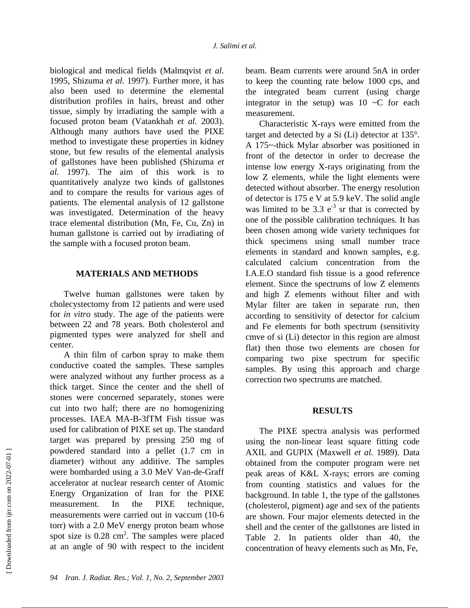biological and medical fields (Malmqvist *et al.*  1995, Shizuma *et al.* 1997). Further more, it has also been used to determine the elemental distribution profiles in hairs, breast and other tissue, simply by irradiating the sample with a focused proton beam (Vatankhah *et al.* 2003). Although many authors have used the PIXE method to investigate these properties in kidney stone, but few results of the elemental analysis of gallstones have been published (Shizuma *et al.* 1997). The aim of this work is to quantitatively analyze two kinds of gallstones and to compare the results for various ages of patients. The elemental analysis of 12 gallstone was investigated. Determination of the heavy trace elemental distribution (Mn, Fe, Cu, Zn) in human gallstone is carried out by irradiating of the sample with a focused proton beam.

# **MATERIALS AND METHODS**

Twelve human gallstones were taken by cholecystectomy from 12 patients and were used for *in vitro* study. The age of the patients were between 22 and 78 years. Both cholesterol and pigmented types were analyzed for shell and center.

A thin film of carbon spray to make them conductive coated the samples. These samples were analyzed without any further process as a thick target. Since the center and the shell of stones were concerned separately, stones were cut into two half; there are no homogenizing processes. IAEA MA-B-3fTM Fish tissue was used for calibration of PIXE set up. The standard target was prepared by pressing 250 mg of powdered standard into a pellet (1.7 cm in diameter) without any additive. The samples were bombarded using a 3.0 MeV Van-de-Graff accelerator at nuclear research center of Atomic Energy Organization of Iran for the PIXE measurement. In the PIXE technique, measurements were carried out in vaccum (10-6 torr) with a 2.0 MeV energy proton beam whose spot size is  $0.28 \text{ cm}^2$ . The samples were placed at an angle of 90 with respect to the incident

beam. Beam currents were around 5nA in order to keep the counting rate below 1000 cps, and the integrated beam current (using charge integrator in the setup) was  $10 \sim C$  for each measurement.

Characteristic X-rays were emitted from the target and detected by a Si (Li) detector at 135°. A 175~-thick Mylar absorber was positioned in front of the detector in order to decrease the intense low energy X-rays originating from the low Z elements, while the light elements were detected without absorber. The energy resolution of detector is 175 e V at 5.9 keV. The solid angle was limited to be  $3.3 e^{-3}$  sr that is corrected by one of the possible calibration techniques. It has been chosen among wide variety techniques for thick specimens using small number trace elements in standard and known samples, e.g. calculated calcium concentration from the I.A.E.O standard fish tissue is a good reference element. Since the spectrums of low Z elements and high Z elements without filter and with Mylar filter are taken in separate run, then according to sensitivity of detector for calcium and Fe elements for both spectrum (sensitivity cmve of si (Li) detector in this region are almost flat) then those two elements are chosen for comparing two pixe spectrum for specific samples. By using this approach and charge correction two spectrums are matched.

## **RESULTS**

The PIXE spectra analysis was performed using the non-linear least square fitting code AXIL and GUPIX (Maxwell *et al.* 1989). Data obtained from the computer program were net peak areas of K&L X-rays; errors are coming from counting statistics and values for the background. In table 1, the type of the gallstones (cholesterol, pigment) age and sex of the patients are shown. Four major elements detected in the shell and the center of the gallstones are listed in Table 2. In patients older than 40, the concentration of heavy elements such as Mn, Fe,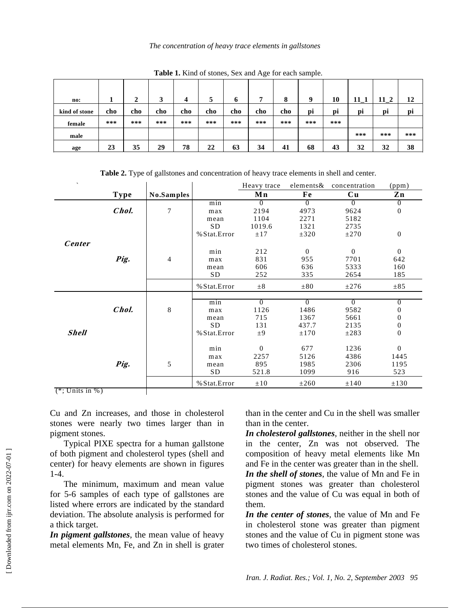#### *The concentration of heavy trace elements in gallstones*

|               | $\tilde{}$<br>$\overline{\phantom{a}}$ |        |         |     |     |             |     |                        |     |     |        |        |     |
|---------------|----------------------------------------|--------|---------|-----|-----|-------------|-----|------------------------|-----|-----|--------|--------|-----|
| no:           |                                        | ↑<br>∠ | 2<br>٠, | 4   | 5   | $\mathbf b$ | ៗ   | $\bullet$<br>$\bullet$ | Q   | 10  | $11_1$ | $11_2$ | 12  |
| kind of stone | cho                                    | cho    | cho     | cho | cho | cho         | cho | cho                    | pi  | pi  | pi     | pi     | pi  |
| female        | ***                                    | ***    | ***     | *** | *** | ***         | *** | ***                    | *** | *** |        |        |     |
| male          |                                        |        |         |     |     |             |     |                        |     |     | ***    | ***    | *** |
| age           | 23                                     | 35     | 29      | 78  | 22  | 63          | 34  | 41                     | 68  | 43  | 32     | 32     | 38  |

**Table 1.** Kind of stones, Sex and Age for each sample.

Heavy trace elements & concentration (ppm) **Type No.Samples Mn Fe Cu Zn** min 0 0 0 0 0 **Chol.** 7 max 2194 4973 9624 0 mean 1104 2271 5182  $SD$  1019.6 1321 2735<br>  $sat. Error$   $±17$   $±320$   $±270$ % Stat.Error  $+17$   $+320$   $+270$  0 **Center** min 212 0 0 0 **Pig.** 4 max 831 955 7701 642 mean 606 636 5333 160 SD 252 335 2654 185 % Stat.Error  $\pm 8$   $\pm 80$   $\pm 276$   $\pm 85$ min 0 0 0 0 0 **Chol.** 8 max 1126 1486 9582 0 mean 715 1367 5661 0 SD 131 437.7 2135 0 **Shell**  $\begin{array}{ccc} 0 & 0 & \text{if } 0 \leq x \leq 0 \leq 0 & 0 \end{array}$   $\begin{array}{ccc} 0 & \text{if } 0 \leq x \leq 0 \\ 0 & \text{if } 0 \leq x \leq 0 \end{array}$ min 0 677 1236 0 max 2257 5126 4386 1445 **Pig.** 5 mean 895 1985 2306 1195 SD 521.8 1099 916 523 % Stat.Error  $\pm 10$   $\pm 260$   $\pm 140$   $\pm 130$ 

**Table 2.** Type of gallstones and concentration of heavy trace elements in shell and center.

 $(*;$  Units in %)

Cu and Zn increases, and those in cholesterol stones were nearly two times larger than in pigment stones.

Typical PIXE spectra for a human gallstone of both pigment and cholesterol types (shell and center) for heavy elements are shown in figures 1-4.

The minimum, maximum and mean value for 5-6 samples of each type of gallstones are listed where errors are indicated by the standard deviation. The absolute analysis is performed for a thick target.

*In pigment gallstones*, the mean value of heavy metal elements Mn, Fe, and Zn in shell is grater than in the center and Cu in the shell was smaller than in the center.

*In cholesterol gallstones*, neither in the shell nor in the center, Zn was not observed. The composition of heavy metal elements like Mn and Fe in the center was greater than in the shell. *In the shell of stones*, the value of Mn and Fe in pigment stones was greater than cholesterol stones and the value of Cu was equal in both of them.

*In the center of stones*, the value of Mn and Fe in cholesterol stone was greater than pigment stones and the value of Cu in pigment stone was two times of cholesterol stones.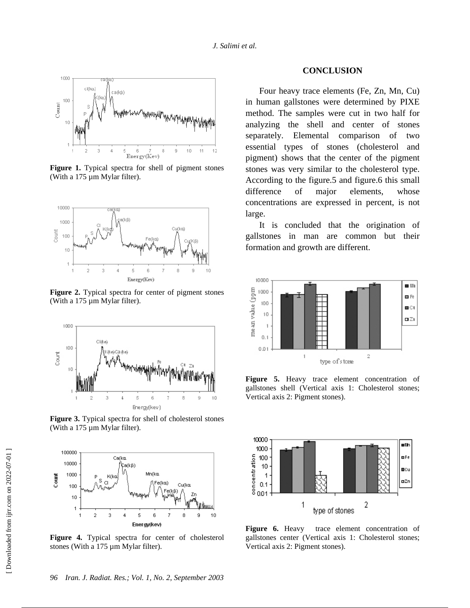

**Figure 1.** Typical spectra for shell of pigment stones (With a 175 µm Mylar filter).



**Figure 2.** Typical spectra for center of pigment stones (With a 175 µm Mylar filter).



**Figure 3.** Typical spectra for shell of cholesterol stones (With a 175 µm Mylar filter).



**Figure 4.** Typical spectra for center of cholesterol stones (With a 175 µm Mylar filter).

#### **CONCLUSION**

Four heavy trace elements (Fe, Zn, Mn, Cu) in human gallstones were determined by PIXE method. The samples were cut in two half for analyzing the shell and center of stones separately. Elemental comparison of two essential types of stones (cholesterol and pigment) shows that the center of the pigment stones was very similar to the cholesterol type. According to the figure.5 and figure.6 this small difference of major elements, whose concentrations are expressed in percent, is not large.

It is concluded that the origination of gallstones in man are common but their formation and growth are different.



Figure 5. Heavy trace element concentration of gallstones shell (Vertical axis 1: Cholesterol stones; Vertical axis 2: Pigment stones).



Figure 6. Heavy trace element concentration of gallstones center (Vertical axis 1: Cholesterol stones; Vertical axis 2: Pigment stones).